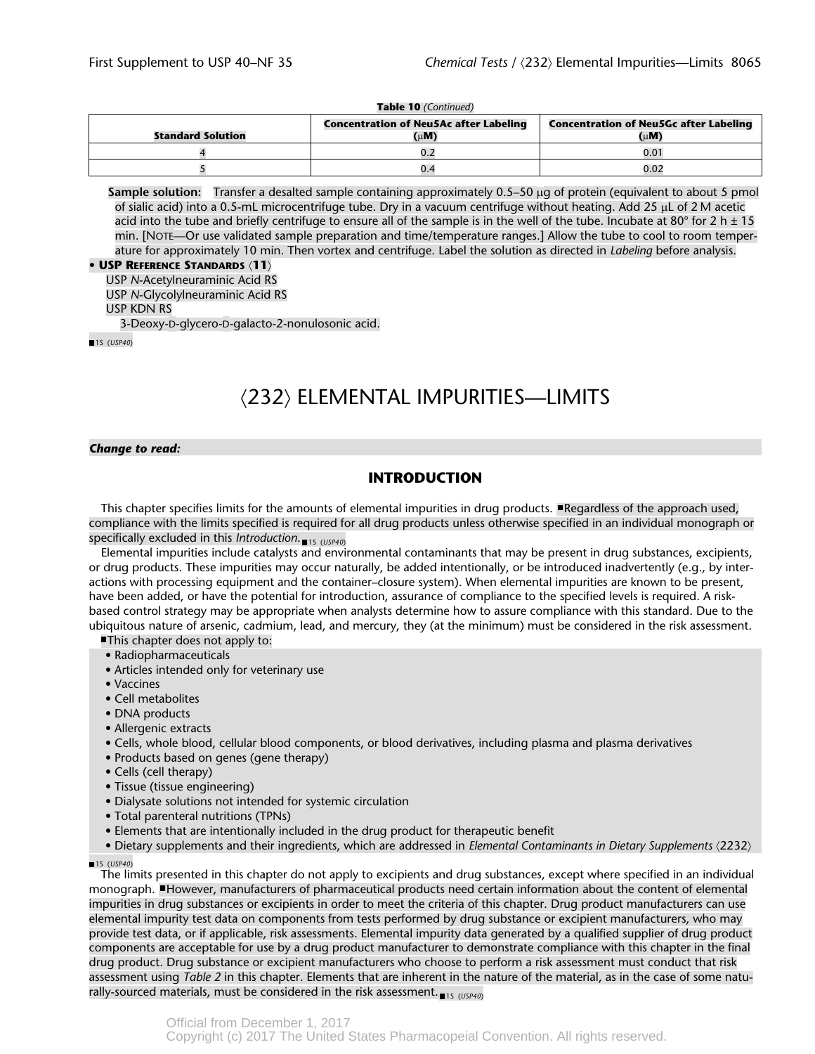#### **Table 10** *(Continued)*

| <b>Standard Solution</b> | <b>Concentration of Neu5Ac after Labeling</b><br>(uM) | <b>Concentration of Neu5Gc after Labeling</b><br>$(\mu M)$ |
|--------------------------|-------------------------------------------------------|------------------------------------------------------------|
|                          |                                                       | 0.01                                                       |
|                          |                                                       | 0.02                                                       |

**Sample solution:** Transfer a desalted sample containing approximately 0.5–50 µg of protein (equivalent to about 5 pmol of sialic acid) into a 0.5-mL microcentrifuge tube. Dry in a vacuum centrifuge without heating. Add 25  $\mu$ L of 2 M acetic acid into the tube and briefly centrifuge to ensure all of the sample is in the well of the tube. Incubate at 80° for 2 h  $\pm$  15 min. [NOTE—Or use validated sample preparation and time/temperature ranges.] Allow the tube to cool to room temperature for approximately 10 min. Then vortex and centrifuge. Label the solution as directed in *Labeling* before analysis.

#### **• USP REFERENCE STANDARDS** á**11**ñ

USP *N*-Acetylneuraminic Acid RS USP *N*-Glycolylneuraminic Acid RS USP KDN RS 3-Deoxy-D-glycero-D-galacto-2-nonulosonic acid.

1S (*USP40*)

# (232) ELEMENTAL IMPURITIES-LIMITS

#### *Change to read:*

# **INTRODUCTION**

This chapter specifies limits for the amounts of elemental impurities in drug products.  $\blacksquare$  Regardless of the approach used, compliance with the limits specified is required for all drug products unless otherwise specified in an individual monograph or specifically excluded in this *Introduction*. 15 (USP40)

Elemental impurities include catalysts and environmental contaminants that may be present in drug substances, excipients, or drug products. These impurities may occur naturally, be added intentionally, or be introduced inadvertently (e.g., by interactions with processing equipment and the container–closure system). When elemental impurities are known to be present, have been added, or have the potential for introduction, assurance of compliance to the specified levels is required. A riskbased control strategy may be appropriate when analysts determine how to assure compliance with this standard. Due to the ubiquitous nature of arsenic, cadmium, lead, and mercury, they (at the minimum) must be considered in the risk assessment.

This chapter does not apply to:

- Radiopharmaceuticals
- Articles intended only for veterinary use
- Vaccines
- Cell metabolites
- DNA products
- Allergenic extracts
- Cells, whole blood, cellular blood components, or blood derivatives, including plasma and plasma derivatives
- Products based on genes (gene therapy)
- Cells (cell therapy)
- Tissue (tissue engineering)
- Dialysate solutions not intended for systemic circulation
- Total parenteral nutritions (TPNs)
- Elements that are intentionally included in the drug product for therapeutic benefit
- Dietary supplements and their ingredients, which are addressed in *Elemental Contaminants in Dietary Supplements*  $\langle 2232 \rangle$

1S (*USP40*)

The limits presented in this chapter do not apply to excipients and drug substances, except where specified in an individual monograph. However, manufacturers of pharmaceutical products need certain information about the content of elemental impurities in drug substances or excipients in order to meet the criteria of this chapter. Drug product manufacturers can use elemental impurity test data on components from tests performed by drug substance or excipient manufacturers, who may provide test data, or if applicable, risk assessments. Elemental impurity data generated by a qualified supplier of drug product components are acceptable for use by a drug product manufacturer to demonstrate compliance with this chapter in the final drug product. Drug substance or excipient manufacturers who choose to perform a risk assessment must conduct that risk assessment using *Table 2* in this chapter. Elements that are inherent in the nature of the material, as in the case of some naturally-sourced materials, must be considered in the risk assessment.<sub>11s (USP40)</sub>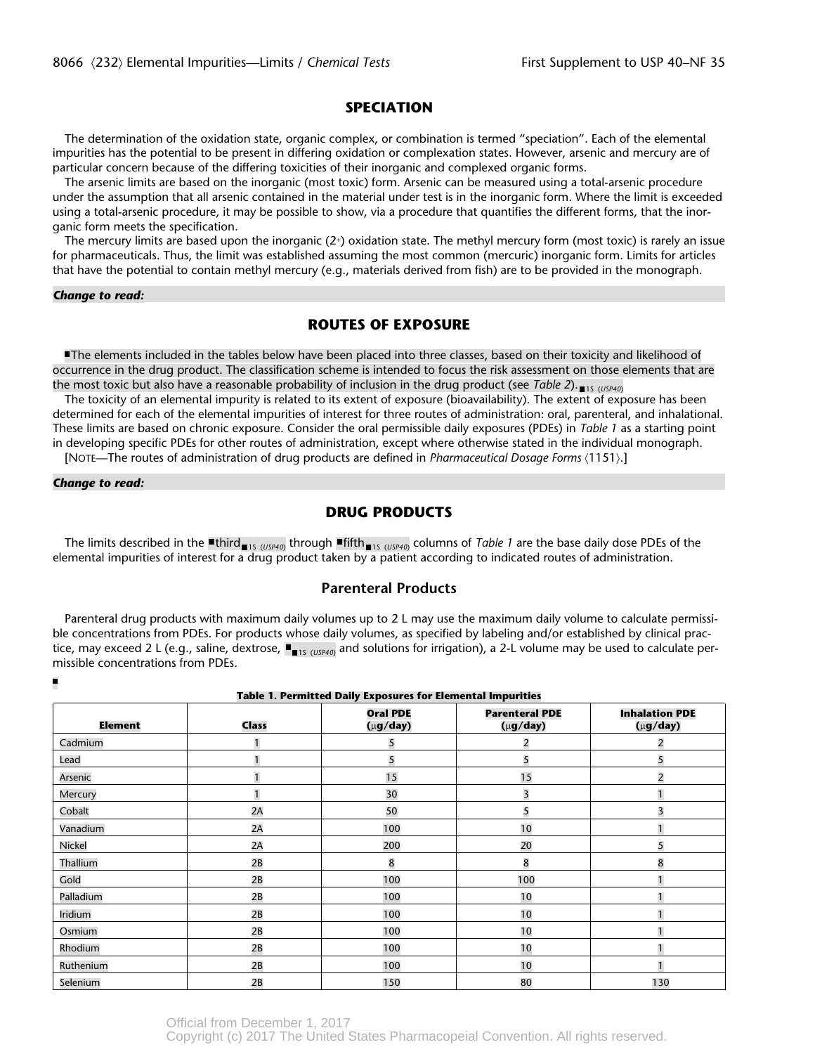#### **SPECIATION**

The determination of the oxidation state, organic complex, or combination is termed "speciation". Each of the elemental impurities has the potential to be present in differing oxidation or complexation states. However, arsenic and mercury are of particular concern because of the differing toxicities of their inorganic and complexed organic forms.

The arsenic limits are based on the inorganic (most toxic) form. Arsenic can be measured using a total-arsenic procedure under the assumption that all arsenic contained in the material under test is in the inorganic form. Where the limit is exceeded using a total-arsenic procedure, it may be possible to show, via a procedure that quantifies the different forms, that the inorganic form meets the specification.

The mercury limits are based upon the inorganic  $(2+)$  oxidation state. The methyl mercury form (most toxic) is rarely an issue for pharmaceuticals. Thus, the limit was established assuming the most common (mercuric) inorganic form. Limits for articles that have the potential to contain methyl mercury (e.g., materials derived from fish) are to be provided in the monograph.

#### *Change to read:*

# **ROUTES OF EXPOSURE**

The elements included in the tables below have been placed into three classes, based on their toxicity and likelihood of occurrence in the drug product. The classification scheme is intended to focus the risk assessment on those elements that are the most toxic but also have a reasonable probability of inclusion in the drug product (see *Table 2*). <sub>Its (*USP40*)</sub>

The toxicity of an elemental impurity is related to its extent of exposure (bioavailability). The extent of exposure has been determined for each of the elemental impurities of interest for three routes of administration: oral, parenteral, and inhalational. These limits are based on chronic exposure. Consider the oral permissible daily exposures (PDEs) in *Table 1* as a starting point in developing specific PDEs for other routes of administration, except where otherwise stated in the individual monograph.

[NOTE—The routes of administration of drug products are defined in *Pharmaceutical Dosage Forms*  $(1151).$ ]

#### *Change to read:*

# **DRUG PRODUCTS**

The limits described in the ■third<sub>■1s (USP40)</sub> through ■fifth<sub>■1s (USP40)</sub> columns of *Table 1* are the base daily dose PDEs of the elemental impurities of interest for a drug product taken by a patient according to indicated routes of administration.

#### **Parenteral Products**

Parenteral drug products with maximum daily volumes up to 2 L may use the maximum daily volume to calculate permissible concentrations from PDEs. For products whose daily volumes, as specified by labeling and/or established by clinical practice, may exceed 2 L (e.g., saline, dextrose,  $\blacksquare_{\blacksquare 15$  <sub>(USP40)</sub> and solutions for irrigation), a 2-L volume may be used to calculate permissible concentrations from PDEs.

| <b>Table 1. Permitted Daily Exposures for Elemental Impurities</b> |              |                                    |                                          |                                          |  |  |
|--------------------------------------------------------------------|--------------|------------------------------------|------------------------------------------|------------------------------------------|--|--|
| Element                                                            | <b>Class</b> | <b>Oral PDE</b><br>$(\mu g / day)$ | <b>Parenteral PDE</b><br>$(\mu g / day)$ | <b>Inhalation PDE</b><br>$(\mu g / day)$ |  |  |
| Cadmium                                                            |              | 5                                  | 2                                        | $\overline{2}$                           |  |  |
| Lead                                                               | $\mathbf{1}$ | 5                                  | 5                                        | 5                                        |  |  |
| Arsenic                                                            | 1            | 15                                 | 15                                       | $\overline{2}$                           |  |  |
| Mercury                                                            | $\mathbf{1}$ | 30                                 | 3                                        |                                          |  |  |
| Cobalt                                                             | 2A           | 50                                 | 5                                        | $\overline{3}$                           |  |  |
| Vanadium                                                           | 2A           | 100                                | 10                                       |                                          |  |  |
| Nickel                                                             | 2A           | 200                                | 20                                       | 5                                        |  |  |
| Thallium                                                           | 2B           | 8                                  | 8                                        | 8                                        |  |  |
| Gold                                                               | 2B           | 100                                | 100                                      |                                          |  |  |
| Palladium                                                          | 2B           | 100                                | 10                                       |                                          |  |  |
| Iridium                                                            | 2B           | 100                                | 10                                       |                                          |  |  |
| Osmium                                                             | 2B           | 100                                | 10                                       |                                          |  |  |
| Rhodium                                                            | 2B           | 100                                | 10                                       |                                          |  |  |
| Ruthenium                                                          | 2B           | 100                                | 10                                       |                                          |  |  |
| Selenium                                                           | 2B           | 150                                | 80                                       | 130                                      |  |  |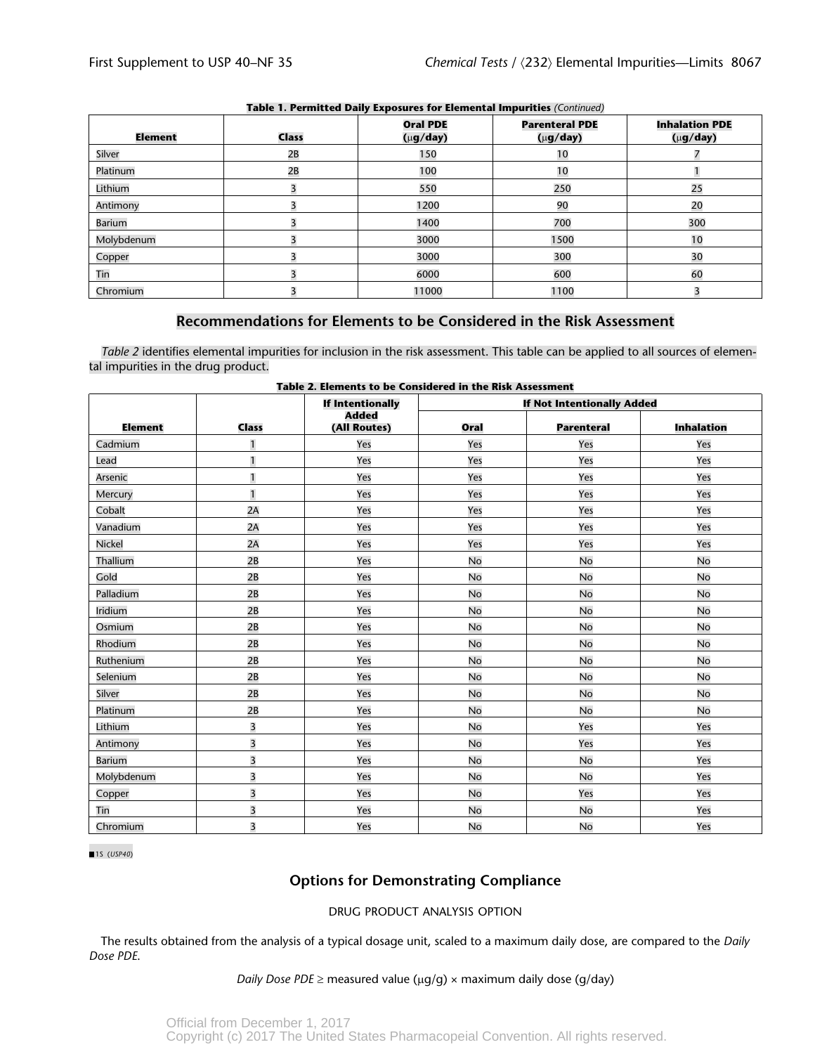| Element       | <b>Class</b>            | <b>Oral PDE</b><br>$(\mu g / day)$ | <b>Parenteral PDE</b><br>$(\mu g / day)$ | <b>Inhalation PDE</b><br>$(\mu g / day)$ |
|---------------|-------------------------|------------------------------------|------------------------------------------|------------------------------------------|
| Silver        | 2B                      | 150                                | 10                                       |                                          |
| Platinum      | 2B                      | 100                                | 10                                       |                                          |
| Lithium       | 3                       | 550                                | 250                                      | 25                                       |
| Antimony      | $\overline{\mathbf{z}}$ | 1200                               | 90                                       | 20                                       |
| <b>Barium</b> | 3                       | 1400                               | 700                                      | 300                                      |
| Molybdenum    |                         | 3000                               | 1500                                     | 10                                       |
| Copper        | 3                       | 3000                               | 300                                      | 30                                       |
| Tin           | 3                       | 6000                               | 600                                      | 60                                       |
| Chromium      |                         | 11000                              | 1100                                     |                                          |

### **Table 1. Permitted Daily Exposures for Elemental Impurities** *(Continued)*

# **Recommendations for Elements to be Considered in the Risk Assessment**

*Table 2* identifies elemental impurities for inclusion in the risk assessment. This table can be applied to all sources of elemental impurities in the drug product.

|                | Table 2. Elements to be considered in the Risk Assessment<br><b>If Intentionally</b><br><b>If Not Intentionally Added</b> |              |           |                   |                   |
|----------------|---------------------------------------------------------------------------------------------------------------------------|--------------|-----------|-------------------|-------------------|
|                |                                                                                                                           | <b>Added</b> |           |                   |                   |
| <b>Element</b> | <b>Class</b>                                                                                                              | (All Routes) | Oral      | <b>Parenteral</b> | <b>Inhalation</b> |
| Cadmium        | $\mathbf{1}$                                                                                                              | Yes          | Yes       | Yes               | Yes               |
| Lead           | $\mathbf{1}$                                                                                                              | Yes          | Yes       | Yes               | Yes               |
| Arsenic        | $\mathbf{1}$                                                                                                              | Yes          | Yes       | Yes               | Yes               |
| Mercury        | $\mathbf{1}$                                                                                                              | Yes          | Yes       | Yes               | Yes               |
| Cobalt         | 2A                                                                                                                        | Yes          | Yes       | Yes               | Yes               |
| Vanadium       | 2A                                                                                                                        | Yes          | Yes       | Yes               | Yes               |
| Nickel         | 2A                                                                                                                        | Yes          | Yes       | Yes               | Yes               |
| Thallium       | 2B                                                                                                                        | Yes          | No        | No                | No                |
| Gold           | 2B                                                                                                                        | Yes          | No        | <b>No</b>         | <b>No</b>         |
| Palladium      | 2B                                                                                                                        | Yes          | No        | No                | <b>No</b>         |
| Iridium        | 2B                                                                                                                        | Yes          | No        | No                | <b>No</b>         |
| Osmium         | 2B                                                                                                                        | Yes          | No        | No                | <b>No</b>         |
| Rhodium        | 2B                                                                                                                        | Yes          | No        | No                | No                |
| Ruthenium      | 2B                                                                                                                        | Yes          | No        | No                | No                |
| Selenium       | 2B                                                                                                                        | Yes          | No        | No                | No                |
| Silver         | 2B                                                                                                                        | Yes          | No        | No                | <b>No</b>         |
| Platinum       | 2B                                                                                                                        | Yes          | No        | No                | No                |
| Lithium        | $\overline{\mathbf{3}}$                                                                                                   | Yes          | No        | Yes               | Yes               |
| Antimony       | $\overline{\mathbf{3}}$                                                                                                   | Yes          | No        | Yes               | Yes               |
| <b>Barium</b>  | $\overline{\mathbf{3}}$                                                                                                   | Yes          | <b>No</b> | No                | Yes               |
| Molybdenum     | $\overline{\mathbf{3}}$                                                                                                   | Yes          | No        | No                | Yes               |
| Copper         | $\overline{\mathbf{3}}$                                                                                                   | Yes          | No        | Yes               | Yes               |
| Tin            | 3                                                                                                                         | Yes          | No        | No                | Yes               |
| Chromium       | $\overline{\mathbf{3}}$                                                                                                   | Yes          | No        | No                | Yes               |

**Table 2. Elements to be Considered in the Risk Assessment**

1S (*USP40*)

# **Options for Demonstrating Compliance**

#### DRUG PRODUCT ANALYSIS OPTION

The results obtained from the analysis of a typical dosage unit, scaled to a maximum daily dose, are compared to the *Daily Dose PDE*.

#### *Daily Dose PDE*  $\geq$  measured value ( $\mu$ g/g)  $\times$  maximum daily dose (g/day)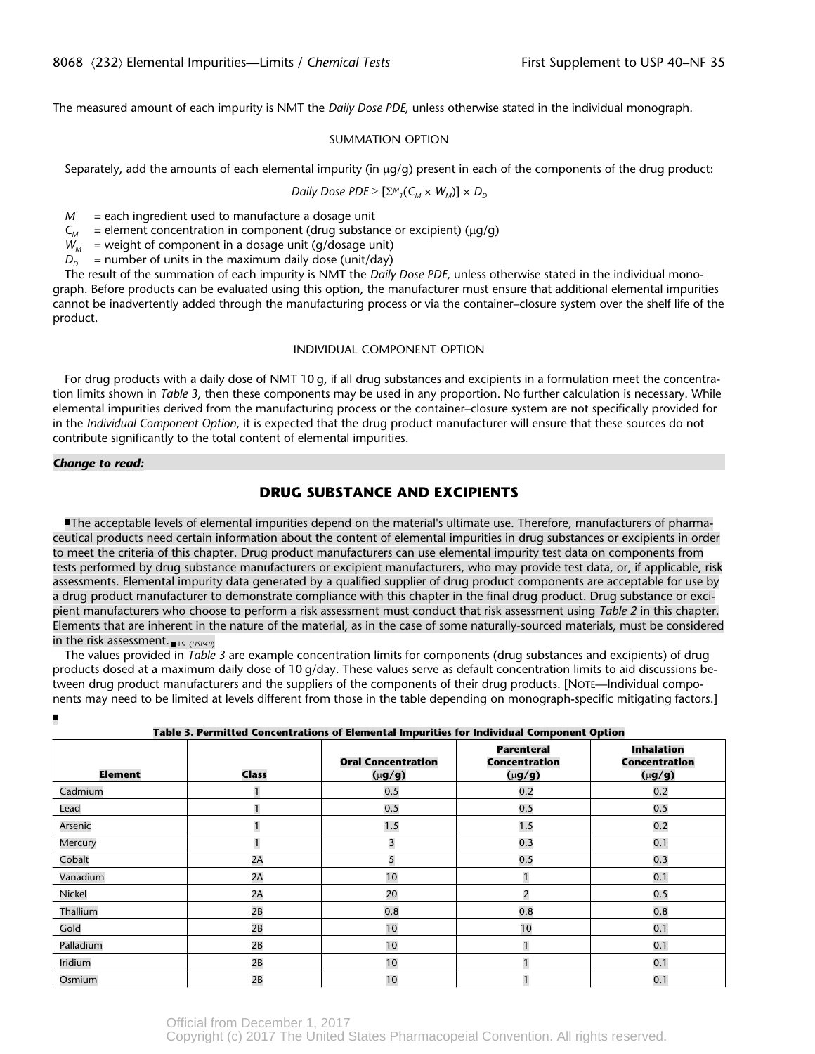The measured amount of each impurity is NMT the *Daily Dose PDE*, unless otherwise stated in the individual monograph.

#### SUMMATION OPTION

Separately, add the amounts of each elemental impurity (in  $\mu g/g$ ) present in each of the components of the drug product:

Daily Does 
$$
PDE \geq [\Sigma^M{}_1(C_M \times W_M)] \times D_D
$$

*M* = each ingredient used to manufacture a dosage unit

 $C_M$  = element concentration in component (drug substance or excipient) ( $\mu$ g/g)

 $W_M$  = weight of component in a dosage unit (g/dosage unit)

 $D_p$  = number of units in the maximum daily dose (unit/day)

The result of the summation of each impurity is NMT the *Daily Dose PDE*, unless otherwise stated in the individual monograph. Before products can be evaluated using this option, the manufacturer must ensure that additional elemental impurities cannot be inadvertently added through the manufacturing process or via the container–closure system over the shelf life of the product.

#### INDIVIDUAL COMPONENT OPTION

For drug products with a daily dose of NMT 10 g, if all drug substances and excipients in a formulation meet the concentration limits shown in *Table 3*, then these components may be used in any proportion. No further calculation is necessary. While elemental impurities derived from the manufacturing process or the container–closure system are not specifically provided for in the *Individual Component Option*, it is expected that the drug product manufacturer will ensure that these sources do not contribute significantly to the total content of elemental impurities.

#### *Change to read:*

# **DRUG SUBSTANCE AND EXCIPIENTS**

The acceptable levels of elemental impurities depend on the material's ultimate use. Therefore, manufacturers of pharmaceutical products need certain information about the content of elemental impurities in drug substances or excipients in order to meet the criteria of this chapter. Drug product manufacturers can use elemental impurity test data on components from tests performed by drug substance manufacturers or excipient manufacturers, who may provide test data, or, if applicable, risk assessments. Elemental impurity data generated by a qualified supplier of drug product components are acceptable for use by a drug product manufacturer to demonstrate compliance with this chapter in the final drug product. Drug substance or excipient manufacturers who choose to perform a risk assessment must conduct that risk assessment using *Table 2* in this chapter. Elements that are inherent in the nature of the material, as in the case of some naturally-sourced materials, must be considered in the risk assessment.<sub>15 (USP40)</sub>

The values provided in *Table 3* are example concentration limits for components (drug substances and excipients) of drug products dosed at a maximum daily dose of 10 g/day. These values serve as default concentration limits to aid discussions between drug product manufacturers and the suppliers of the components of their drug products. [NOTE—Individual components may need to be limited at levels different from those in the table depending on monograph-specific mitigating factors.]

| Table 3. Permitted Concentrations of Elemental Impurities for Individual Component Option |              |                                          |                                                   |                                                          |  |
|-------------------------------------------------------------------------------------------|--------------|------------------------------------------|---------------------------------------------------|----------------------------------------------------------|--|
| <b>Element</b>                                                                            | <b>Class</b> | <b>Oral Concentration</b><br>$(\mu$ g/g) | <b>Parenteral</b><br>Concentration<br>$(\mu$ g/g) | <b>Inhalation</b><br><b>Concentration</b><br>$(\mu$ g/g) |  |
| Cadmium                                                                                   |              | 0.5                                      | 0.2                                               | 0.2                                                      |  |
| Lead                                                                                      |              | 0.5                                      | 0.5                                               | 0.5                                                      |  |
| Arsenic                                                                                   |              | 1.5                                      | 1.5                                               | 0.2                                                      |  |
| Mercury                                                                                   |              | 3                                        | 0.3                                               | 0.1                                                      |  |
| Cobalt                                                                                    | 2A           | 5                                        | 0.5                                               | 0.3                                                      |  |
| Vanadium                                                                                  | 2A           | 10                                       |                                                   | 0.1                                                      |  |
| Nickel                                                                                    | 2A           | 20                                       | 2                                                 | 0.5                                                      |  |
| Thallium                                                                                  | 2B           | 0.8                                      | 0.8                                               | 0.8                                                      |  |
| Gold                                                                                      | 2B           | 10                                       | 10                                                | 0.1                                                      |  |
| Palladium                                                                                 | 2B           | 10                                       |                                                   | 0.1                                                      |  |
| Iridium                                                                                   | 2B           | 10                                       |                                                   | 0.1                                                      |  |
| Osmium                                                                                    | 2B           | 10                                       |                                                   | 0.1                                                      |  |